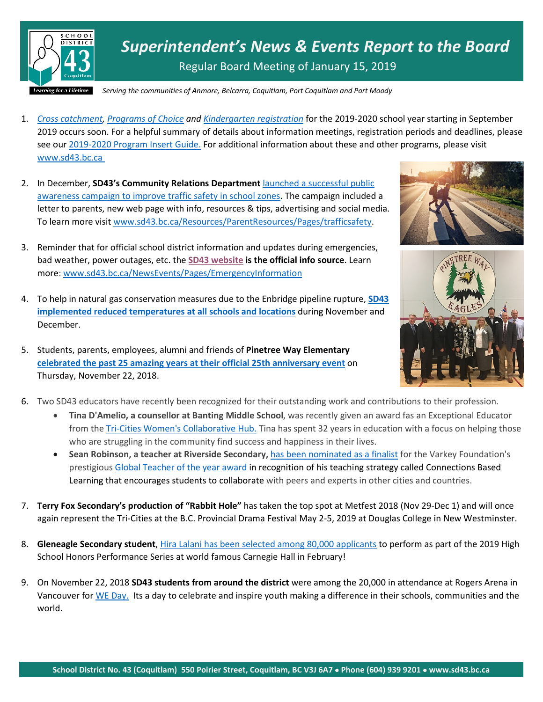

*Superintendent's News & Events Report to the Board* Regular Board Meeting of January 15, 2019

*Serving the communities of Anmore, Belcarra, Coquitlam, Port Coquitlam and Port Moody*

- 1. *[Cross catchment,](https://www.sd43.bc.ca/Schools/Pages/CrossCatchment.aspx) [Programs of Choice](https://www.sd43.bc.ca/Programs/Pages/default.aspx) and [Kindergarten registration](https://www.sd43.bc.ca/Schools/Pages/KindergartenRegistration.aspx)* for the 2019-2020 school year starting in September 2019 occurs soon. For a helpful summary of details about information meetings, registration periods and deadlines, please see our [2019-2020 Program Insert Guide.](https://www.sd43.bc.ca/Programs/Documents/SD43ProgramInsertDec2019.pdf) For additional information about these and other programs, please visi[t](https://www.sd43.bc.ca/Programs/Pages/default.aspx) [www.sd43.bc.ca](https://www.sd43.bc.ca/Programs/Pages/default.aspx)
- 2. In December, **SD43's Community Relations Department** [launched a successful public](https://www.tricitynews.com/news/updated-school-zone-safe-driving-campaign-launched-1.23526182)  [awareness campaign to improve traffic safety in school zones.](https://www.tricitynews.com/news/updated-school-zone-safe-driving-campaign-launched-1.23526182) The campaign included a letter to parents, new web page with info, resources & tips, advertising and social media. To learn more visit [www.sd43.bc.ca/Resources/ParentResources/Pages/trafficsafety.](http://www.sd43.bc.ca/Resources/ParentResources/Pages/trafficsafety)
- 3. Reminder that for official school district information and updates during emergencies, bad weather, power outages, etc. the **[SD43 website](http://www.sd43.bc.ca/) is the official info source**. Learn more: [www.sd43.bc.ca/NewsEvents/Pages/EmergencyInformation](http://www.sd43.bc.ca/NewsEvents/Pages/EmergencyInformation)
- 4. To help in natural gas conservation measures due to the Enbridge pipeline rupture, **[SD43](https://www.sd43.bc.ca/Pages/newsitem.aspx?ItemID=464&ListID=ed550773-e9ff-4e20-9964-4e1b213f518c&TemplateID=Announcement_Item)  [implemented reduced temperatures at all schools and locations](https://www.sd43.bc.ca/Pages/newsitem.aspx?ItemID=464&ListID=ed550773-e9ff-4e20-9964-4e1b213f518c&TemplateID=Announcement_Item)** during November and December.
- 5. Students, parents, employees, alumni and friends of **Pinetree Way Elementary [celebrated the past 25 amazing years at their official 25th anniversary event](https://www.sd43.bc.ca/Pages/newsitem.aspx?ItemID=196&ListID=c4134e88-bc0d-484f-9d4d-93c69db7f94f&TemplateID=Announcement_Item)** on Thursday, November 22, 2018.





- 6. Two SD43 educators have recently been recognized for their outstanding work and contributions to their profession.
	- **Tina D'Amelio, a counsellor at Banting Middle School**, was recently given an award fas an Exceptional Educator from th[e Tri-Cities Women's Collaborative Hub.](https://womenscollaborativehub.com/awards/) Tina has spent 32 years in education with a focus on helping those who are struggling in the community find success and happiness in their lives.
	- **Sean Robinson, a teacher at Riverside Secondary,** [has been nominated as a](https://www.tricitynews.com/news/port-coquitlam-teacher-nominated-for-international-award-1.23554530) finalist for the Varkey Foundation's prestigiou[s Global Teacher of the year award](https://www.globalteacherprize.org/person?id=7495) in recognition of his teaching strategy called Connections Based Learning that encourages students to collaborate with peers and experts in other cities and countries.
- 7. **Terry Fox Secondary's production of "Rabbit Hole"** has taken the top spot at Metfest 2018 (Nov 29-Dec 1) and will once again represent the Tri-Cities at the B.C. Provincial Drama Festival May 2-5, 2019 at Douglas College in New Westminster.
- 8. **Gleneagle Secondary student**[, Hira Lalani has been selected among 80,000 applicants](http://ow.ly/oStw30mUgVJ) to perform as part of the 2019 High School Honors Performance Series at world famous Carnegie Hall in February!
- 9. On November 22, 2018 **SD43 students from around the district** were among the 20,000 in attendance at Rogers Arena in Vancouver for [WE Day.](https://www.sd43.bc.ca/Pages/newsitem.aspx?ItemID=195&ListID=c4134e88-bc0d-484f-9d4d-93c69db7f94f&TemplateID=Announcement_Item) Its a day to celebrate and inspire youth making a difference in their schools, communities and the world.